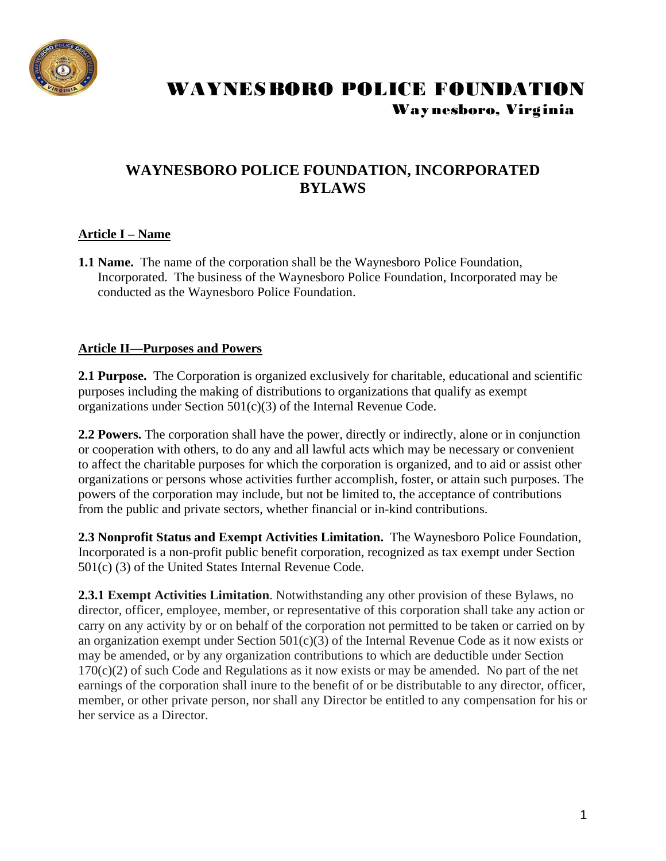

### **WAYNESBORO POLICE FOUNDATION, INCORPORATED BYLAWS**

### **Article I – Name**

**1.1 Name.** The name of the corporation shall be the Waynesboro Police Foundation, Incorporated. The business of the Waynesboro Police Foundation, Incorporated may be conducted as the Waynesboro Police Foundation.

#### **Article II—Purposes and Powers**

**2.1 Purpose.** The Corporation is organized exclusively for charitable, educational and scientific purposes including the making of distributions to organizations that qualify as exempt organizations under Section 501(c)(3) of the Internal Revenue Code.

**2.2 Powers.** The corporation shall have the power, directly or indirectly, alone or in conjunction or cooperation with others, to do any and all lawful acts which may be necessary or convenient to affect the charitable purposes for which the corporation is organized, and to aid or assist other organizations or persons whose activities further accomplish, foster, or attain such purposes. The powers of the corporation may include, but not be limited to, the acceptance of contributions from the public and private sectors, whether financial or in-kind contributions.

**2.3 Nonprofit Status and Exempt Activities Limitation.** The Waynesboro Police Foundation, Incorporated is a non-profit public benefit corporation, recognized as tax exempt under Section 501(c) (3) of the United States Internal Revenue Code.

**2.3.1 Exempt Activities Limitation**. Notwithstanding any other provision of these Bylaws, no director, officer, employee, member, or representative of this corporation shall take any action or carry on any activity by or on behalf of the corporation not permitted to be taken or carried on by an organization exempt under Section 501(c)(3) of the Internal Revenue Code as it now exists or may be amended, or by any organization contributions to which are deductible under Section  $170(c)(2)$  of such Code and Regulations as it now exists or may be amended. No part of the net earnings of the corporation shall inure to the benefit of or be distributable to any director, officer, member, or other private person, nor shall any Director be entitled to any compensation for his or her service as a Director.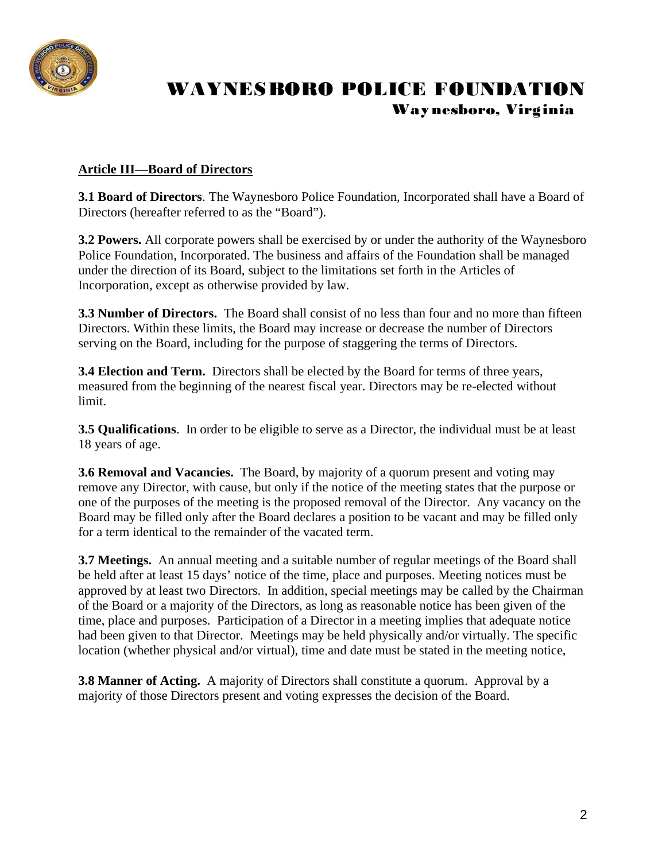

### **Article III—Board of Directors**

**3.1 Board of Directors**. The Waynesboro Police Foundation, Incorporated shall have a Board of Directors (hereafter referred to as the "Board").

**3.2 Powers.** All corporate powers shall be exercised by or under the authority of the Waynesboro Police Foundation, Incorporated. The business and affairs of the Foundation shall be managed under the direction of its Board, subject to the limitations set forth in the Articles of Incorporation, except as otherwise provided by law.

**3.3 Number of Directors.** The Board shall consist of no less than four and no more than fifteen Directors. Within these limits, the Board may increase or decrease the number of Directors serving on the Board, including for the purpose of staggering the terms of Directors.

**3.4 Election and Term.** Directors shall be elected by the Board for terms of three years, measured from the beginning of the nearest fiscal year. Directors may be re-elected without limit.

**3.5 Qualifications**. In order to be eligible to serve as a Director, the individual must be at least 18 years of age.

**3.6 Removal and Vacancies.** The Board, by majority of a quorum present and voting may remove any Director, with cause, but only if the notice of the meeting states that the purpose or one of the purposes of the meeting is the proposed removal of the Director. Any vacancy on the Board may be filled only after the Board declares a position to be vacant and may be filled only for a term identical to the remainder of the vacated term.

**3.7 Meetings.** An annual meeting and a suitable number of regular meetings of the Board shall be held after at least 15 days' notice of the time, place and purposes. Meeting notices must be approved by at least two Directors. In addition, special meetings may be called by the Chairman of the Board or a majority of the Directors, as long as reasonable notice has been given of the time, place and purposes. Participation of a Director in a meeting implies that adequate notice had been given to that Director. Meetings may be held physically and/or virtually. The specific location (whether physical and/or virtual), time and date must be stated in the meeting notice,

**3.8 Manner of Acting.** A majority of Directors shall constitute a quorum. Approval by a majority of those Directors present and voting expresses the decision of the Board.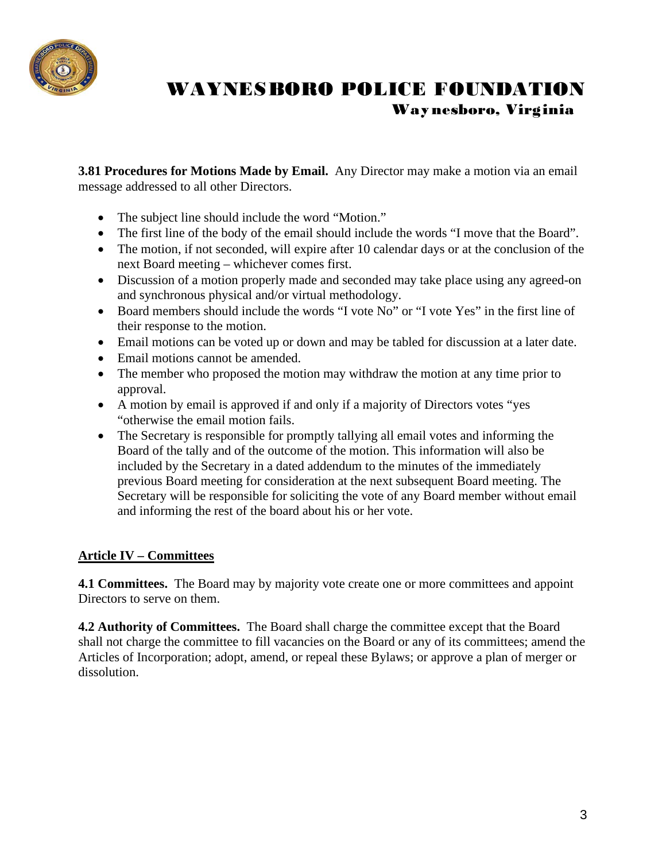

**3.81 Procedures for Motions Made by Email.** Any Director may make a motion via an email message addressed to all other Directors.

- The subject line should include the word "Motion."
- The first line of the body of the email should include the words "I move that the Board".
- The motion, if not seconded, will expire after 10 calendar days or at the conclusion of the next Board meeting – whichever comes first.
- Discussion of a motion properly made and seconded may take place using any agreed-on and synchronous physical and/or virtual methodology.
- Board members should include the words "I vote No" or "I vote Yes" in the first line of their response to the motion.
- Email motions can be voted up or down and may be tabled for discussion at a later date.
- Email motions cannot be amended.
- The member who proposed the motion may withdraw the motion at any time prior to approval.
- A motion by email is approved if and only if a majority of Directors votes "yes "otherwise the email motion fails.
- The Secretary is responsible for promptly tallying all email votes and informing the Board of the tally and of the outcome of the motion. This information will also be included by the Secretary in a dated addendum to the minutes of the immediately previous Board meeting for consideration at the next subsequent Board meeting. The Secretary will be responsible for soliciting the vote of any Board member without email and informing the rest of the board about his or her vote.

### **Article IV – Committees**

**4.1 Committees.** The Board may by majority vote create one or more committees and appoint Directors to serve on them.

**4.2 Authority of Committees.** The Board shall charge the committee except that the Board shall not charge the committee to fill vacancies on the Board or any of its committees; amend the Articles of Incorporation; adopt, amend, or repeal these Bylaws; or approve a plan of merger or dissolution.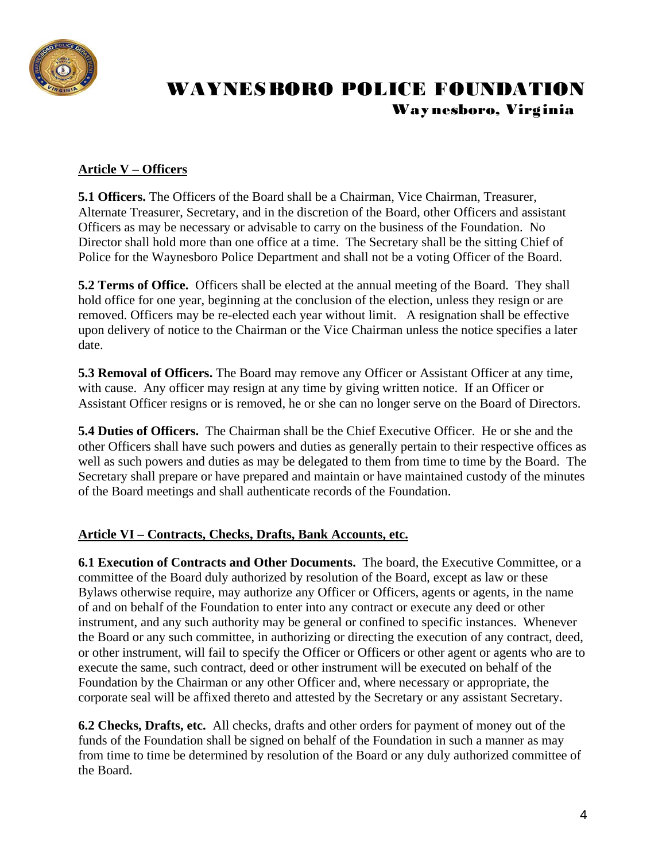

#### **Article V – Officers**

**5.1 Officers.** The Officers of the Board shall be a Chairman, Vice Chairman, Treasurer, Alternate Treasurer, Secretary, and in the discretion of the Board, other Officers and assistant Officers as may be necessary or advisable to carry on the business of the Foundation. No Director shall hold more than one office at a time. The Secretary shall be the sitting Chief of Police for the Waynesboro Police Department and shall not be a voting Officer of the Board.

**5.2 Terms of Office.** Officers shall be elected at the annual meeting of the Board. They shall hold office for one year, beginning at the conclusion of the election, unless they resign or are removed. Officers may be re-elected each year without limit. A resignation shall be effective upon delivery of notice to the Chairman or the Vice Chairman unless the notice specifies a later date.

**5.3 Removal of Officers.** The Board may remove any Officer or Assistant Officer at any time, with cause. Any officer may resign at any time by giving written notice. If an Officer or Assistant Officer resigns or is removed, he or she can no longer serve on the Board of Directors.

**5.4 Duties of Officers.** The Chairman shall be the Chief Executive Officer. He or she and the other Officers shall have such powers and duties as generally pertain to their respective offices as well as such powers and duties as may be delegated to them from time to time by the Board. The Secretary shall prepare or have prepared and maintain or have maintained custody of the minutes of the Board meetings and shall authenticate records of the Foundation.

#### **Article VI – Contracts, Checks, Drafts, Bank Accounts, etc.**

**6.1 Execution of Contracts and Other Documents.** The board, the Executive Committee, or a committee of the Board duly authorized by resolution of the Board, except as law or these Bylaws otherwise require, may authorize any Officer or Officers, agents or agents, in the name of and on behalf of the Foundation to enter into any contract or execute any deed or other instrument, and any such authority may be general or confined to specific instances. Whenever the Board or any such committee, in authorizing or directing the execution of any contract, deed, or other instrument, will fail to specify the Officer or Officers or other agent or agents who are to execute the same, such contract, deed or other instrument will be executed on behalf of the Foundation by the Chairman or any other Officer and, where necessary or appropriate, the corporate seal will be affixed thereto and attested by the Secretary or any assistant Secretary.

**6.2 Checks, Drafts, etc.** All checks, drafts and other orders for payment of money out of the funds of the Foundation shall be signed on behalf of the Foundation in such a manner as may from time to time be determined by resolution of the Board or any duly authorized committee of the Board.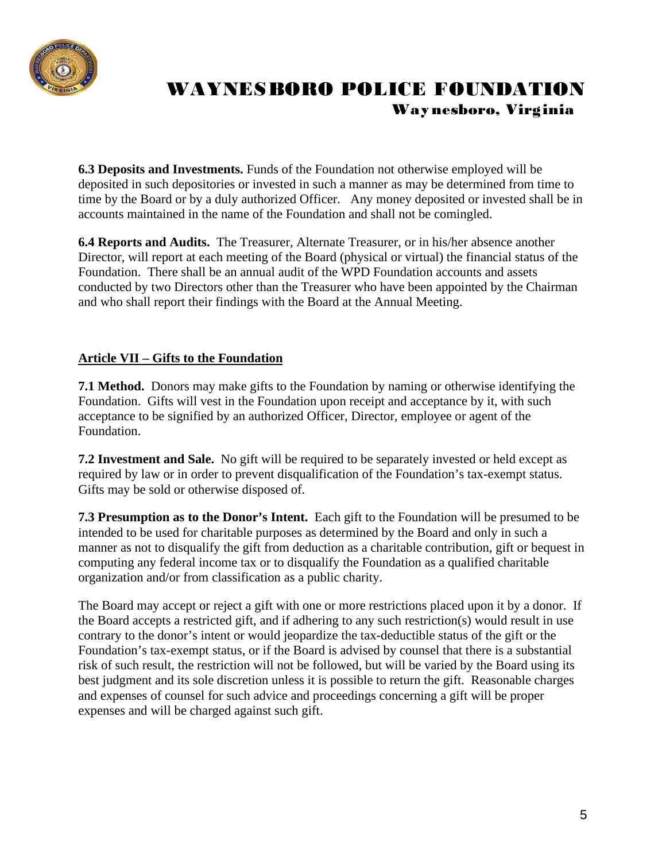

**6.3 Deposits and Investments.** Funds of the Foundation not otherwise employed will be deposited in such depositories or invested in such a manner as may be determined from time to time by the Board or by a duly authorized Officer. Any money deposited or invested shall be in accounts maintained in the name of the Foundation and shall not be comingled.

**6.4 Reports and Audits.** The Treasurer, Alternate Treasurer, or in his/her absence another Director, will report at each meeting of the Board (physical or virtual) the financial status of the Foundation. There shall be an annual audit of the WPD Foundation accounts and assets conducted by two Directors other than the Treasurer who have been appointed by the Chairman and who shall report their findings with the Board at the Annual Meeting.

### **Article VII – Gifts to the Foundation**

**7.1 Method.** Donors may make gifts to the Foundation by naming or otherwise identifying the Foundation. Gifts will vest in the Foundation upon receipt and acceptance by it, with such acceptance to be signified by an authorized Officer, Director, employee or agent of the Foundation.

**7.2 Investment and Sale.** No gift will be required to be separately invested or held except as required by law or in order to prevent disqualification of the Foundation's tax-exempt status. Gifts may be sold or otherwise disposed of.

**7.3 Presumption as to the Donor's Intent.** Each gift to the Foundation will be presumed to be intended to be used for charitable purposes as determined by the Board and only in such a manner as not to disqualify the gift from deduction as a charitable contribution, gift or bequest in computing any federal income tax or to disqualify the Foundation as a qualified charitable organization and/or from classification as a public charity.

The Board may accept or reject a gift with one or more restrictions placed upon it by a donor. If the Board accepts a restricted gift, and if adhering to any such restriction(s) would result in use contrary to the donor's intent or would jeopardize the tax-deductible status of the gift or the Foundation's tax-exempt status, or if the Board is advised by counsel that there is a substantial risk of such result, the restriction will not be followed, but will be varied by the Board using its best judgment and its sole discretion unless it is possible to return the gift. Reasonable charges and expenses of counsel for such advice and proceedings concerning a gift will be proper expenses and will be charged against such gift.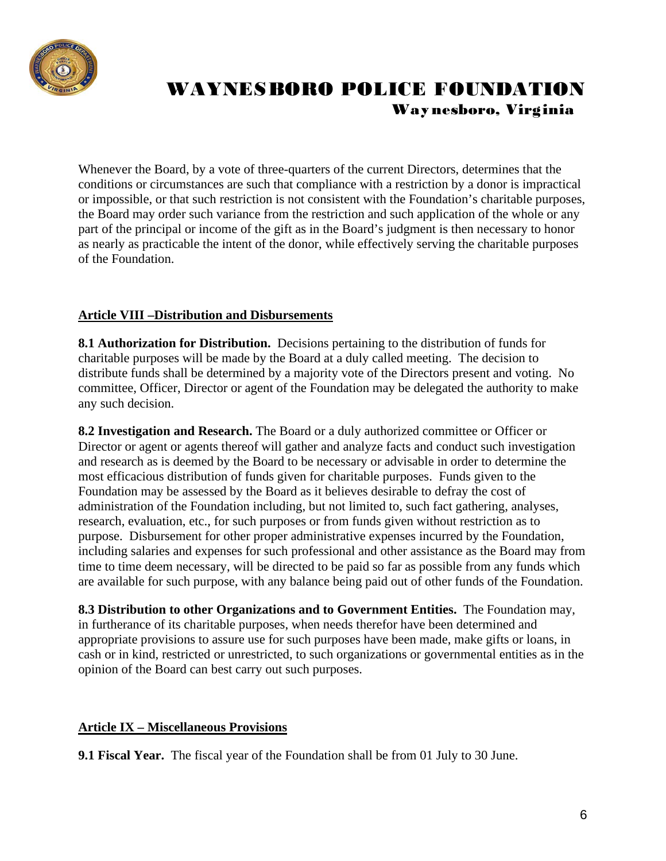

Whenever the Board, by a vote of three-quarters of the current Directors, determines that the conditions or circumstances are such that compliance with a restriction by a donor is impractical or impossible, or that such restriction is not consistent with the Foundation's charitable purposes, the Board may order such variance from the restriction and such application of the whole or any part of the principal or income of the gift as in the Board's judgment is then necessary to honor as nearly as practicable the intent of the donor, while effectively serving the charitable purposes of the Foundation.

#### **Article VIII –Distribution and Disbursements**

**8.1 Authorization for Distribution.** Decisions pertaining to the distribution of funds for charitable purposes will be made by the Board at a duly called meeting. The decision to distribute funds shall be determined by a majority vote of the Directors present and voting. No committee, Officer, Director or agent of the Foundation may be delegated the authority to make any such decision.

**8.2 Investigation and Research.** The Board or a duly authorized committee or Officer or Director or agent or agents thereof will gather and analyze facts and conduct such investigation and research as is deemed by the Board to be necessary or advisable in order to determine the most efficacious distribution of funds given for charitable purposes. Funds given to the Foundation may be assessed by the Board as it believes desirable to defray the cost of administration of the Foundation including, but not limited to, such fact gathering, analyses, research, evaluation, etc., for such purposes or from funds given without restriction as to purpose. Disbursement for other proper administrative expenses incurred by the Foundation, including salaries and expenses for such professional and other assistance as the Board may from time to time deem necessary, will be directed to be paid so far as possible from any funds which are available for such purpose, with any balance being paid out of other funds of the Foundation.

**8.3 Distribution to other Organizations and to Government Entities.** The Foundation may, in furtherance of its charitable purposes, when needs therefor have been determined and appropriate provisions to assure use for such purposes have been made, make gifts or loans, in cash or in kind, restricted or unrestricted, to such organizations or governmental entities as in the opinion of the Board can best carry out such purposes.

#### **Article IX – Miscellaneous Provisions**

**9.1 Fiscal Year.** The fiscal year of the Foundation shall be from 01 July to 30 June.